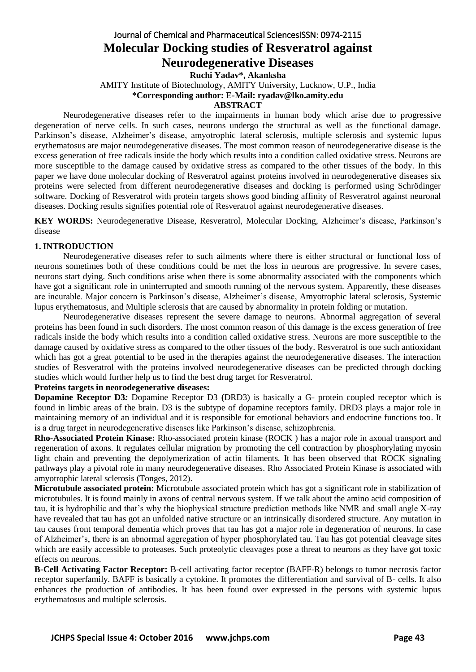## Journal of Chemical and Pharmaceutical SciencesISSN: 0974-2115 **Molecular Docking studies of Resveratrol against Neurodegenerative Diseases**

**Ruchi Yadav\*, Akanksha** 

AMITY Institute of Biotechnology, AMITY University, Lucknow, U.P., India

**\*Corresponding author: E-Mail: ryadav@lko.amity.edu**

## **ABSTRACT**

Neurodegenerative diseases refer to the impairments in human body which arise due to progressive degeneration of nerve cells. In such cases, neurons undergo the structural as well as the functional damage. Parkinson's disease, Alzheimer's disease, amyotrophic lateral sclerosis, multiple sclerosis and systemic lupus erythematosus are major neurodegenerative diseases. The most common reason of neurodegenerative disease is the excess generation of free radicals inside the body which results into a condition called oxidative stress. Neurons are more susceptible to the damage caused by oxidative stress as compared to the other tissues of the body. In this paper we have done molecular docking of Resveratrol against proteins involved in neurodegenerative diseases six proteins were selected from different neurodegenerative diseases and docking is performed using Schrödinger software. Docking of Resveratrol with protein targets shows good binding affinity of Resveratrol against neuronal diseases. Docking results signifies potential role of Resveratrol against neurodegenerative diseases.

**KEY WORDS:** Neurodegenerative Disease, Resveratrol, Molecular Docking, Alzheimer's disease, Parkinson's disease

## **1. INTRODUCTION**

Neurodegenerative diseases refer to such ailments where there is either structural or functional loss of neurons sometimes both of these conditions could be met the loss in neurons are progressive. In severe cases, neurons start dying. Such conditions arise when there is some abnormality associated with the components which have got a significant role in uninterrupted and smooth running of the nervous system. Apparently, these diseases are incurable. Major concern is Parkinson's disease, Alzheimer's disease, Amyotrophic lateral sclerosis, Systemic lupus erythematosus, and Multiple sclerosis that are caused by abnormality in protein folding or mutation.

Neurodegenerative diseases represent the severe damage to neurons. Abnormal aggregation of several proteins has been found in such disorders. The most common reason of this damage is the excess generation of free radicals inside the body which results into a condition called oxidative stress. Neurons are more susceptible to the damage caused by oxidative stress as compared to the other tissues of the body. Resveratrol is one such antioxidant which has got a great potential to be used in the therapies against the neurodegenerative diseases. The interaction studies of Resveratrol with the proteins involved neurodegenerative diseases can be predicted through docking studies which would further help us to find the best drug target for Resveratrol.

## **Proteins targets in neorodegenerative diseases:**

**Dopamine Receptor D3***:* Dopamine Receptor D3 **(**DRD3) is basically a G- protein coupled receptor which is found in limbic areas of the brain. D3 is the subtype of dopamine receptors family. DRD3 plays a major role in maintaining memory of an individual and it is responsible for emotional behaviors and endocrine functions too. It is a drug target in neurodegenerative diseases like Parkinson's disease, schizophrenia.

**Rho-Associated Protein Kinase:** Rho-associated protein kinase (ROCK ) has a major role in axonal transport and regeneration of axons. It regulates cellular migration by promoting the cell contraction by phosphorylating myosin light chain and preventing the depolymerization of actin filaments. It has been observed that ROCK signaling pathways play a pivotal role in many neurodegenerative diseases. Rho Associated Protein Kinase is associated with amyotrophic lateral sclerosis (Tonges, 2012).

**Microtubule associated protein:** Microtubule associated protein which has got a significant role in stabilization of microtubules. It is found mainly in axons of central nervous system. If we talk about the amino acid composition of tau, it is hydrophilic and that's why the biophysical structure prediction methods like NMR and small angle X-ray have revealed that tau has got an unfolded native structure or an intrinsically disordered structure. Any mutation in tau causes front temporal dementia which proves that tau has got a major role in degeneration of neurons. In case of Alzheimer's, there is an abnormal aggregation of hyper phosphorylated tau. Tau has got potential cleavage sites which are easily accessible to proteases. Such proteolytic cleavages pose a threat to neurons as they have got toxic effects on neurons.

**B-Cell Activating Factor Receptor:** B-cell activating factor receptor (BAFF-R) belongs to tumor necrosis factor receptor superfamily. BAFF is basically a cytokine. It promotes the differentiation and survival of B- cells. It also enhances the production of antibodies. It has been found over expressed in the persons with systemic lupus erythematosus and multiple sclerosis.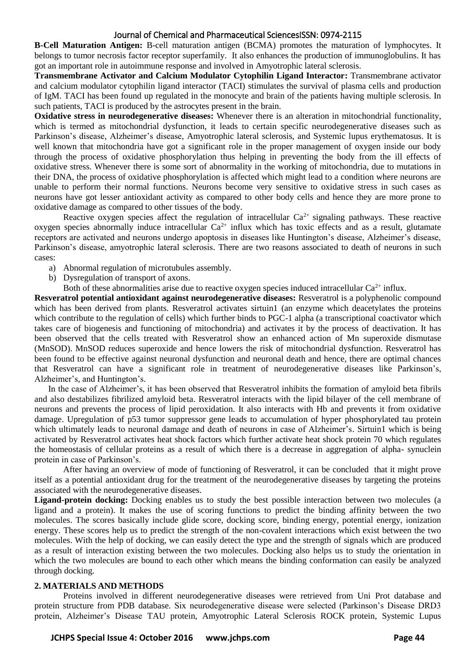**B-Cell Maturation Antigen:** B-cell maturation antigen (BCMA) promotes the maturation of lymphocytes. It belongs to tumor necrosis factor receptor superfamily. It also enhances the production of immunoglobulins. It has got an important role in autoimmune response and involved in Amyotrophic lateral sclerosis.

**Transmembrane Activator and Calcium Modulator Cytophilin Ligand Interactor:** Transmembrane activator and calcium modulator cytophilin ligand interactor (TACI) stimulates the survival of plasma cells and production of IgM. TACI has been found up regulated in the monocyte and brain of the patients having multiple sclerosis. In such patients, TACI is produced by the astrocytes present in the brain.

**Oxidative stress in neurodegenerative diseases:** Whenever there is an alteration in mitochondrial functionality, which is termed as mitochondrial dysfunction, it leads to certain specific neurodegenerative diseases such as Parkinson's disease, Alzheimer's disease, Amyotrophic lateral sclerosis, and Systemic lupus erythematosus. It is well known that mitochondria have got a significant role in the proper management of oxygen inside our body through the process of oxidative phosphorylation thus helping in preventing the body from the ill effects of oxidative stress. Whenever there is some sort of abnormality in the working of mitochondria, due to mutations in their DNA, the process of oxidative phosphorylation is affected which might lead to a condition where neurons are unable to perform their normal functions. Neurons become very sensitive to oxidative stress in such cases as neurons have got lesser antioxidant activity as compared to other body cells and hence they are more prone to oxidative damage as compared to other tissues of the body.

Reactive oxygen species affect the regulation of intracellular  $Ca^{2+}$  signaling pathways. These reactive oxygen species abnormally induce intracellular  $Ca^{2+}$  influx which has toxic effects and as a result, glutamate receptors are activated and neurons undergo apoptosis in diseases like Huntington's disease, Alzheimer's disease, Parkinson's disease, amyotrophic lateral sclerosis. There are two reasons associated to death of neurons in such cases:

- a) Abnormal regulation of microtubules assembly.
- b) Dysregulation of transport of axons.
	- Both of these abnormalities arise due to reactive oxygen species induced intracellular  $Ca^{2+}$  influx.

**Resveratrol potential antioxidant against neurodegenerative diseases:** Resveratrol is a polyphenolic compound which has been derived from plants. Resveratrol activates sirtuin1 (an enzyme which deacetylates the proteins which contribute to the regulation of cells) which further binds to PGC-1 alpha (a transcriptional coactivator which takes care of biogenesis and functioning of mitochondria) and activates it by the process of deactivation. It has been observed that the cells treated with Resveratrol show an enhanced action of Mn superoxide dismutase (MnSOD). MnSOD reduces superoxide and hence lowers the risk of mitochondrial dysfunction. Resveratrol has been found to be effective against neuronal dysfunction and neuronal death and hence, there are optimal chances that Resveratrol can have a significant role in treatment of neurodegenerative diseases like Parkinson's, Alzheimer's, and Huntington's.

In the case of Alzheimer's, it has been observed that Resveratrol inhibits the formation of amyloid beta fibrils and also destabilizes fibrilized amyloid beta. Resveratrol interacts with the lipid bilayer of the cell membrane of neurons and prevents the process of lipid peroxidation. It also interacts with Hb and prevents it from oxidative damage. Upregulation of p53 tumor suppressor gene leads to accumulation of hyper phosphorylated tau protein which ultimately leads to neuronal damage and death of neurons in case of Alzheimer's. Sirtuin1 which is being activated by Resveratrol activates heat shock factors which further activate heat shock protein 70 which regulates the homeostasis of cellular proteins as a result of which there is a decrease in aggregation of alpha- synuclein protein in case of Parkinson's.

After having an overview of mode of functioning of Resveratrol, it can be concluded that it might prove itself as a potential antioxidant drug for the treatment of the neurodegenerative diseases by targeting the proteins associated with the neurodegenerative diseases.

**Ligand-protein docking:** Docking enables us to study the best possible interaction between two molecules (a ligand and a protein). It makes the use of scoring functions to predict the binding affinity between the two molecules. The scores basically include glide score, docking score, binding energy, potential energy, ionization energy. These scores help us to predict the strength of the non-covalent interactions which exist between the two molecules. With the help of docking, we can easily detect the type and the strength of signals which are produced as a result of interaction existing between the two molecules. Docking also helps us to study the orientation in which the two molecules are bound to each other which means the binding conformation can easily be analyzed through docking.

## **2. MATERIALS AND METHODS**

Proteins involved in different neurodegenerative diseases were retrieved from Uni Prot database and protein structure from PDB database. Six neurodegenerative disease were selected (Parkinson's Disease DRD3 protein, Alzheimer's Disease TAU protein, Amyotrophic Lateral Sclerosis ROCK protein, Systemic Lupus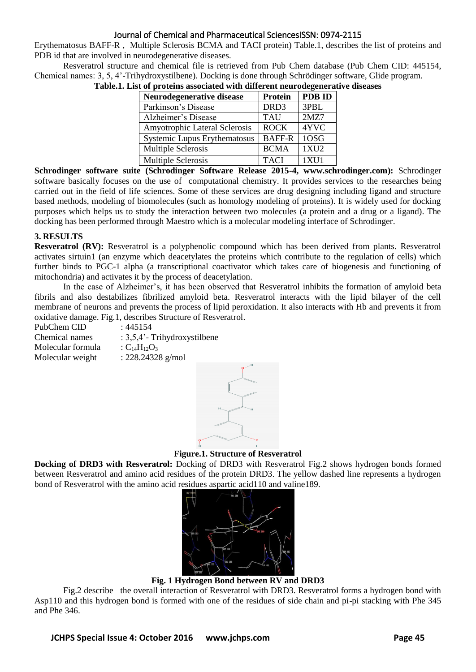Erythematosus BAFF-R , Multiple Sclerosis BCMA and TACI protein) Table.1, describes the list of proteins and PDB id that are involved in neurodegenerative diseases.

Resveratrol structure and chemical file is retrieved from Pub Chem database (Pub Chem CID: 445154, Chemical names: 3, 5, 4'-Trihydroxystilbene). Docking is done through Schrödinger software, Glide program.

| Neurodegenerative disease     | <b>Protein</b> | <b>PDB ID</b> |
|-------------------------------|----------------|---------------|
| Parkinson's Disease           | DRD3           | 3PBL          |
| Alzheimer's Disease           | <b>TAU</b>     | 2MZ7          |
| Amyotrophic Lateral Sclerosis | <b>ROCK</b>    | 4YVC          |
| Systemic Lupus Erythematosus  | <b>BAFF-R</b>  | 1OSG          |
| Multiple Sclerosis            | <b>BCMA</b>    | 1XU2          |
| Multiple Sclerosis            | <b>TACI</b>    | 1XU1          |

**Table.1. List of proteins associated with different neurodegenerative diseases**

**Schrodinger software suite (Schrodinger Software Release 2015-4, [www.schrodinger.com\)](http://www.schrodinger.com/):** Schrodinger software basically focuses on the use of computational chemistry. It provides services to the researches being carried out in the field of life sciences. Some of these services are drug designing including ligand and structure based methods, modeling of biomolecules (such as homology modeling of proteins). It is widely used for docking purposes which helps us to study the interaction between two molecules (a protein and a drug or a ligand). The docking has been performed through Maestro which is a molecular modeling interface of Schrodinger.

## **3. RESULTS**

**Resveratrol (RV):** Resveratrol is a polyphenolic compound which has been derived from plants. Resveratrol activates sirtuin1 (an enzyme which deacetylates the proteins which contribute to the regulation of cells) which further binds to PGC-1 alpha (a transcriptional coactivator which takes care of biogenesis and functioning of mitochondria) and activates it by the process of deacetylation.

In the case of Alzheimer's, it has been observed that Resveratrol inhibits the formation of amyloid beta fibrils and also destabilizes fibrilized amyloid beta. Resveratrol interacts with the lipid bilayer of the cell membrane of neurons and prevents the process of lipid peroxidation. It also interacts with Hb and prevents it from oxidative damage. Fig.1, describes Structure of Resveratrol.

| PubChem CID       | : 445154                         |
|-------------------|----------------------------------|
| Chemical names    | : $3,5,4$ ' - Trihydroxystilbene |
| Molecular formula | : $C_{14}H_{12}O_3$              |
| Molecular weight  | : $228.24328$ g/mol              |



**Figure.1. Structure of Resveratrol**

**Docking of DRD3 with Resveratrol:** Docking of DRD3 with Resveratrol Fig.2 shows hydrogen bonds formed between Resveratrol and amino acid residues of the protein DRD3. The yellow dashed line represents a hydrogen bond of Resveratrol with the amino acid residues aspartic acid110 and valine189.



**Fig. 1 Hydrogen Bond between RV and DRD3**

Fig.2 describe the overall interaction of Resveratrol with DRD3. Resveratrol forms a hydrogen bond with Asp110 and this hydrogen bond is formed with one of the residues of side chain and pi-pi stacking with Phe 345 and Phe 346.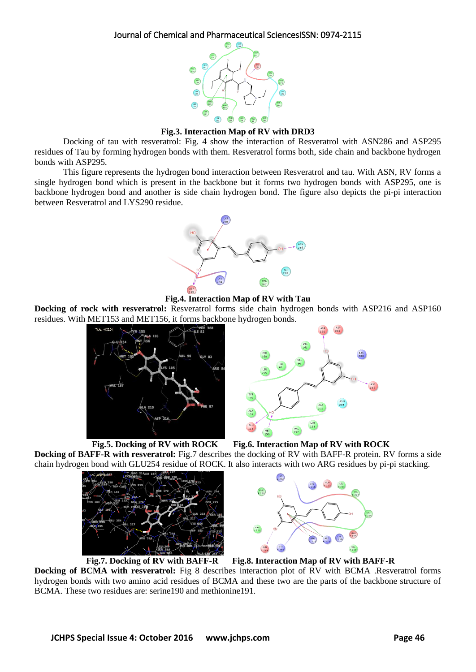

**Fig.3. Interaction Map of RV with DRD3**

Docking of tau with resveratrol: Fig. 4 show the interaction of Resveratrol with ASN286 and ASP295 residues of Tau by forming hydrogen bonds with them. Resveratrol forms both, side chain and backbone hydrogen bonds with ASP295.

This figure represents the hydrogen bond interaction between Resveratrol and tau. With ASN, RV forms a single hydrogen bond which is present in the backbone but it forms two hydrogen bonds with ASP295, one is backbone hydrogen bond and another is side chain hydrogen bond. The figure also depicts the pi-pi interaction between Resveratrol and LYS290 residue.



**Fig.4. Interaction Map of RV with Tau**

**Docking of rock with resveratrol:** Resveratrol forms side chain hydrogen bonds with ASP216 and ASP160 residues. With MET153 and MET156, it forms backbone hydrogen bonds.







**Fig.5. Docking of RV with ROCK Fig.6. Interaction Map of RV with ROCK**

**Docking of BAFF-R with resveratrol:** Fig.7 describes the docking of RV with BAFF-R protein. RV forms a side chain hydrogen bond with GLU254 residue of ROCK. It also interacts with two ARG residues by pi-pi stacking.



**Fig.7. Docking of RV with BAFF-R Fig.8. Interaction Map of RV with BAFF-R**

**Docking of BCMA with resveratrol:** Fig 8 describes interaction plot of RV with BCMA .Resveratrol forms hydrogen bonds with two amino acid residues of BCMA and these two are the parts of the backbone structure of BCMA. These two residues are: serine190 and methionine191.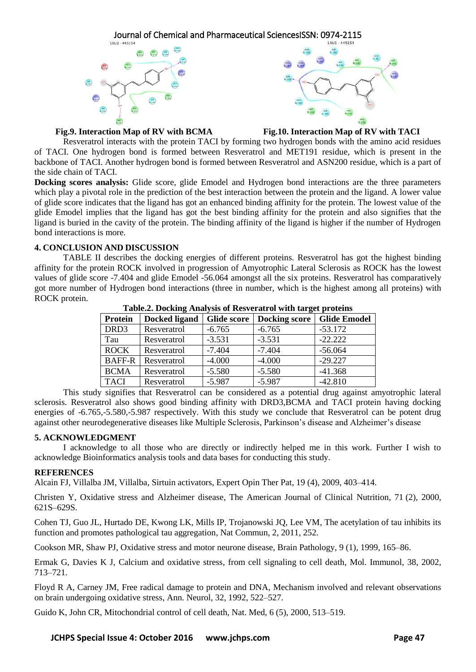



## **Fig.9. Interaction Map of RV with BCMA Fig.10. Interaction Map of RV with TACI**

Resveratrol interacts with the protein TACI by forming two hydrogen bonds with the amino acid residues of TACI. One hydrogen bond is formed between Resveratrol and MET191 residue, which is present in the backbone of TACI. Another hydrogen bond is formed between Resveratrol and ASN200 residue, which is a part of the side chain of TACI.

**Docking scores analysis:** Glide score, glide Emodel and Hydrogen bond interactions are the three parameters which play a pivotal role in the prediction of the best interaction between the protein and the ligand. A lower value of glide score indicates that the ligand has got an enhanced binding affinity for the protein. The lowest value of the glide Emodel implies that the ligand has got the best binding affinity for the protein and also signifies that the ligand is buried in the cavity of the protein. The binding affinity of the ligand is higher if the number of Hydrogen bond interactions is more.

## **4. CONCLUSION AND DISCUSSION**

TABLE II describes the docking energies of different proteins. Resveratrol has got the highest binding affinity for the protein ROCK involved in progression of Amyotrophic Lateral Sclerosis as ROCK has the lowest values of glide score -7.404 and glide Emodel -56.064 amongst all the six proteins. Resveratrol has comparatively got more number of Hydrogen bond interactions (three in number, which is the highest among all proteins) with ROCK protein.

| Tubicial Docume Time you of Itervelant of with the get proteins |               |                    |                      |                     |  |
|-----------------------------------------------------------------|---------------|--------------------|----------------------|---------------------|--|
| Protein                                                         | Docked ligand | <b>Glide score</b> | <b>Docking score</b> | <b>Glide Emodel</b> |  |
| DRD3                                                            | Resveratrol   | $-6.765$           | $-6.765$             | $-53.172$           |  |
| Tau                                                             | Resveratrol   | $-3.531$           | $-3.531$             | $-22.222$           |  |
| <b>ROCK</b>                                                     | Resveratrol   | $-7.404$           | $-7.404$             | $-56.064$           |  |
| <b>BAFF-R</b>                                                   | Resveratrol   | $-4.000$           | $-4.000$             | $-29.227$           |  |
| <b>BCMA</b>                                                     | Resveratrol   | $-5.580$           | $-5.580$             | $-41.368$           |  |
| <b>TACI</b>                                                     | Resveratrol   | $-5.987$           | $-5.987$             | $-42.810$           |  |

**Table.2. Docking Analysis of Resveratrol with target proteins**

This study signifies that Resveratrol can be considered as a potential drug against amyotrophic lateral sclerosis. Resveratrol also shows good binding affinity with DRD3,BCMA and TACI protein having docking energies of -6.765,-5.580,-5.987 respectively. With this study we conclude that Resveratrol can be potent drug against other neurodegenerative diseases like Multiple Sclerosis, Parkinson's disease and Alzheimer's disease

## **5. ACKNOWLEDGMENT**

I acknowledge to all those who are directly or indirectly helped me in this work. Further I wish to acknowledge Bioinformatics analysis tools and data bases for conducting this study.

## **REFERENCES**

Alcain FJ, Villalba JM, Villalba, Sirtuin activators, Expert Opin Ther Pat, 19 (4), 2009, 403–414.

Christen Y, [Oxidative stress and Alzheimer disease, T](http://www.ajcn.org/cgi/content/full/71/2/621s)he American Journal of Clinical Nutrition, 71 (2), 2000, 621S–629S.

Cohen TJ, Guo JL, Hurtado DE, Kwong LK, Mills IP, Trojanowski JQ, Lee VM, The acetylation of tau inhibits its function and promotes pathological tau aggregation, Nat Commun, 2, 2011, 252.

Cookson MR, Shaw PJ, Oxidative stress and motor neurone disease, Brain Pathology, 9 (1), 1999, 165–86.

Ermak G, Davies K J, Calcium and oxidative stress, from cell signaling to cell death, Mol. Immunol, 38, 2002, 713–721.

Floyd R A, Carney JM, Free radical damage to protein and DNA, Mechanism involved and relevant observations on brain undergoing oxidative stress, Ann. Neurol, 32, 1992, 522–527.

Guido K, John CR, Mitochondrial control of cell death, Nat. Med, 6 (5), 2000, 513–519.